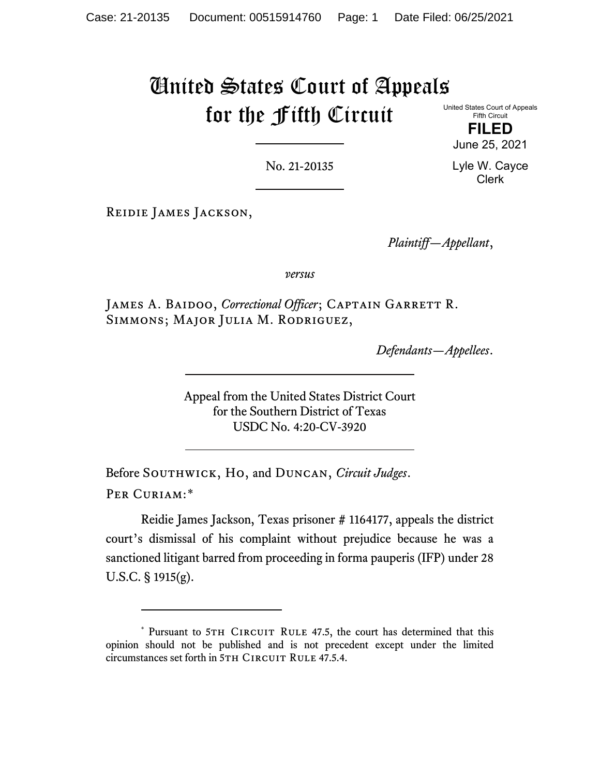## United States Court of Appeals for the Fifth Circuit

United States Court of Appeals Fifth Circuit

**FILED** June 25, 2021

No. 21-20135

Lyle W. Cayce Clerk

Reidie James Jackson,

*Plaintiff—Appellant*,

*versus*

JAMES A. BAIDOO, *Correctional Officer*; CAPTAIN GARRETT R. Simmons; Major Julia M. Rodriguez,

*Defendants—Appellees*.

Appeal from the United States District Court for the Southern District of Texas USDC No. 4:20-CV-3920

Before SOUTHWICK, HO, and DUNCAN, *Circuit Judges*. Per Curiam:[\\*](#page-0-0)

Reidie James Jackson, Texas prisoner # 1164177, appeals the district court's dismissal of his complaint without prejudice because he was a sanctioned litigant barred from proceeding in forma pauperis (IFP) under 28 U.S.C. § 1915(g).

<span id="page-0-0"></span><sup>\*</sup> Pursuant to 5TH CIRCUIT RULE 47.5, the court has determined that this opinion should not be published and is not precedent except under the limited circumstances set forth in 5TH CIRCUIT RULE 47.5.4.